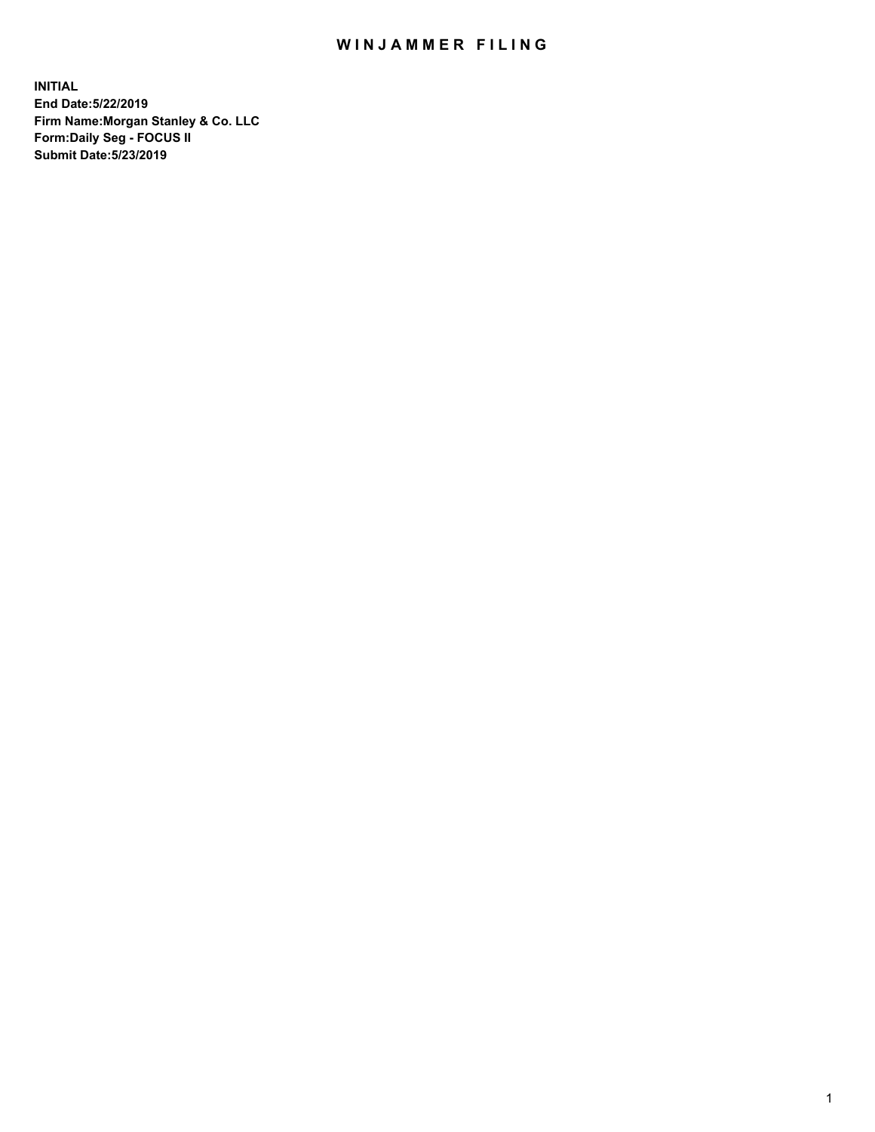## WIN JAMMER FILING

**INITIAL End Date:5/22/2019 Firm Name:Morgan Stanley & Co. LLC Form:Daily Seg - FOCUS II Submit Date:5/23/2019**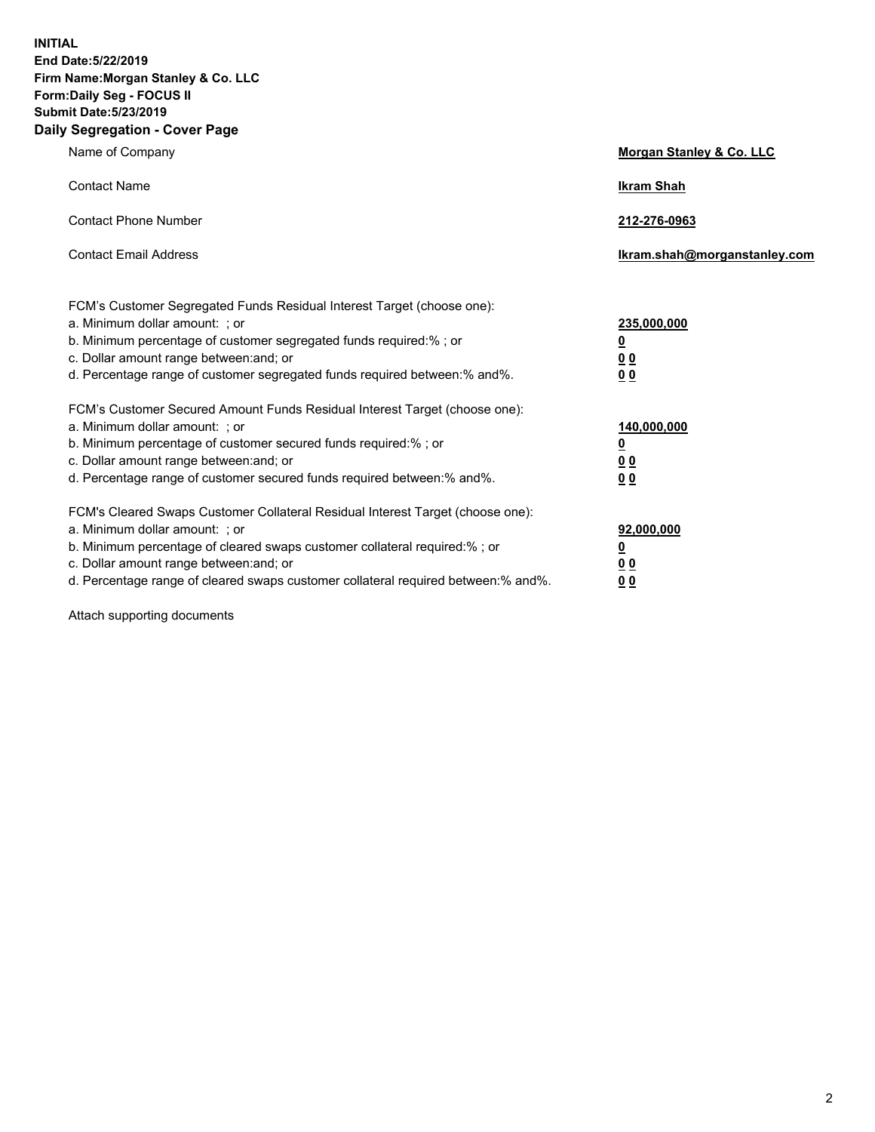**INITIAL End Date:5/22/2019 Firm Name:Morgan Stanley & Co. LLC Form:Daily Seg - FOCUS II Submit Date:5/23/2019 Daily Segregation - Cover Page**

| Name of Company                                                                                                                                                                                                                                                                                                                | Morgan Stanley & Co. LLC                                    |
|--------------------------------------------------------------------------------------------------------------------------------------------------------------------------------------------------------------------------------------------------------------------------------------------------------------------------------|-------------------------------------------------------------|
| <b>Contact Name</b>                                                                                                                                                                                                                                                                                                            | <b>Ikram Shah</b>                                           |
| <b>Contact Phone Number</b>                                                                                                                                                                                                                                                                                                    | 212-276-0963                                                |
| <b>Contact Email Address</b>                                                                                                                                                                                                                                                                                                   | Ikram.shah@morganstanley.com                                |
| FCM's Customer Segregated Funds Residual Interest Target (choose one):<br>a. Minimum dollar amount: ; or<br>b. Minimum percentage of customer segregated funds required:% ; or<br>c. Dollar amount range between: and; or<br>d. Percentage range of customer segregated funds required between:% and%.                         | 235,000,000<br><u>0</u><br>0 <sub>0</sub><br>0 <sub>0</sub> |
| FCM's Customer Secured Amount Funds Residual Interest Target (choose one):<br>a. Minimum dollar amount: ; or<br>b. Minimum percentage of customer secured funds required:%; or<br>c. Dollar amount range between: and; or<br>d. Percentage range of customer secured funds required between:% and%.                            | 140,000,000<br><u>0</u><br>0 <sub>0</sub><br>0 <sub>0</sub> |
| FCM's Cleared Swaps Customer Collateral Residual Interest Target (choose one):<br>a. Minimum dollar amount: ; or<br>b. Minimum percentage of cleared swaps customer collateral required:% ; or<br>c. Dollar amount range between: and; or<br>d. Percentage range of cleared swaps customer collateral required between:% and%. | 92,000,000<br><u>0</u><br><u>00</u><br>0 <sub>0</sub>       |

Attach supporting documents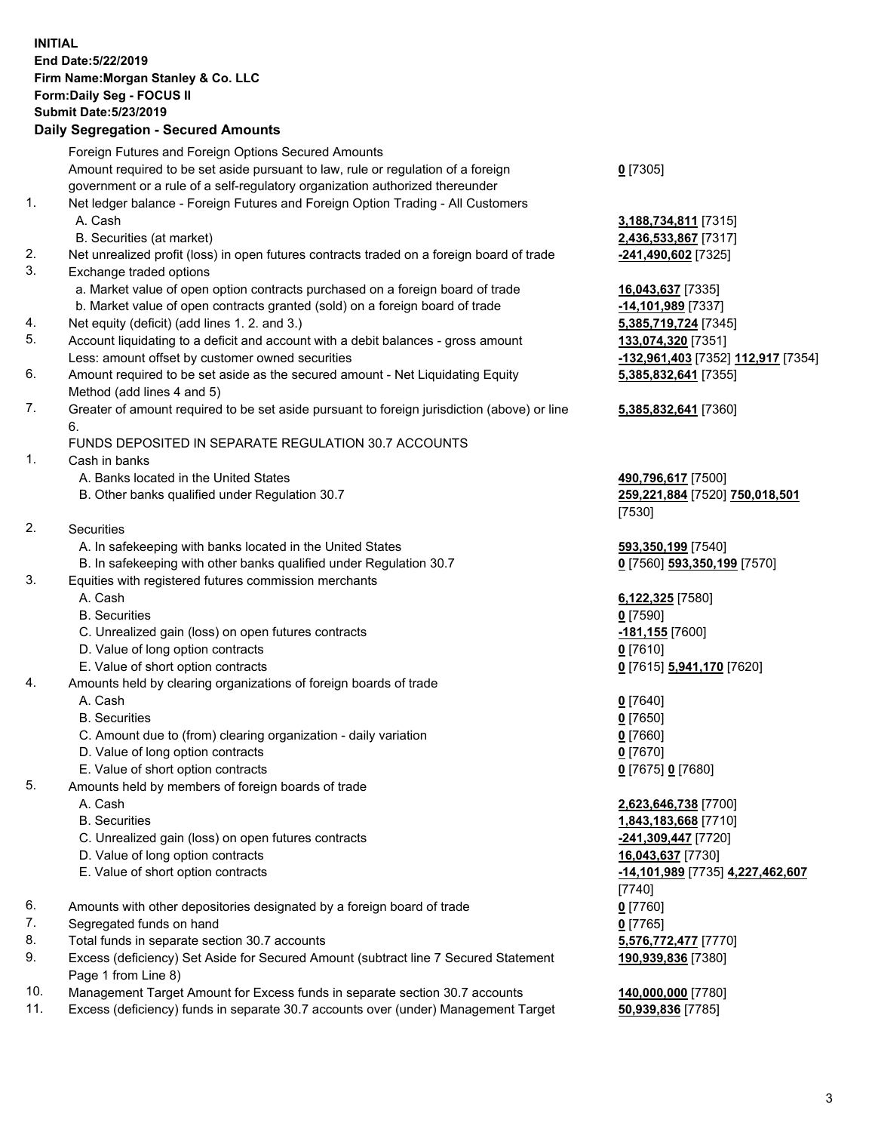## **INITIAL End Date:5/22/2019 Firm Name:Morgan Stanley & Co. LLC Form:Daily Seg - FOCUS II Submit Date:5/23/2019**

**Daily Segregation - Secured Amounts** Foreign Futures and Foreign Options Secured Amounts Amount required to be set aside pursuant to law, rule or regulation of a foreign government or a rule of a self-regulatory organization authorized thereunder 1. Net ledger balance - Foreign Futures and Foreign Option Trading - All Customers A. Cash **3,188,734,811** [7315] B. Securities (at market) **2,436,533,867** [7317] 2. Net unrealized profit (loss) in open futures contracts traded on a foreign board of trade **-241,490,602** [7325] 3. Exchange traded options a. Market value of open option contracts purchased on a foreign board of trade **16,043,637** [7335] b. Market value of open contracts granted (sold) on a foreign board of trade **-14,101,989** [7337] 4. Net equity (deficit) (add lines 1. 2. and 3.) **5,385,719,724** [7345] 5. Account liquidating to a deficit and account with a debit balances - gross amount **133,074,320** [7351] Less: amount offset by customer owned securities **-132,961,403** [7352] **112,917** [7354] 6. Amount required to be set aside as the secured amount - Net Liquidating Equity Method (add lines 4 and 5) 7. Greater of amount required to be set aside pursuant to foreign jurisdiction (above) or line 6. FUNDS DEPOSITED IN SEPARATE REGULATION 30.7 ACCOUNTS 1. Cash in banks A. Banks located in the United States **490,796,617** [7500] B. Other banks qualified under Regulation 30.7 **259,221,884** [7520] **750,018,501** 2. Securities A. In safekeeping with banks located in the United States **593,350,199** [7540] B. In safekeeping with other banks qualified under Regulation 30.7 **0** [7560] **593,350,199** [7570] 3. Equities with registered futures commission merchants A. Cash **6,122,325** [7580] B. Securities **0** [7590] C. Unrealized gain (loss) on open futures contracts **-181,155** [7600] D. Value of long option contracts **0** [7610] E. Value of short option contracts **0** [7615] **5,941,170** [7620] 4. Amounts held by clearing organizations of foreign boards of trade A. Cash **0** [7640] B. Securities **0** [7650] C. Amount due to (from) clearing organization - daily variation **0** [7660] D. Value of long option contracts **0** [7670] E. Value of short option contracts **0** [7675] **0** [7680] 5. Amounts held by members of foreign boards of trade A. Cash **2,623,646,738** [7700]

- 
- C. Unrealized gain (loss) on open futures contracts **-241,309,447** [7720]
- D. Value of long option contracts **16,043,637** [7730]
- 
- 6. Amounts with other depositories designated by a foreign board of trade **0** [7760]
- 7. Segregated funds on hand **0** [7765]
- 8. Total funds in separate section 30.7 accounts **5,576,772,477** [7770]
- 9. Excess (deficiency) Set Aside for Secured Amount (subtract line 7 Secured Statement Page 1 from Line 8)
- 10. Management Target Amount for Excess funds in separate section 30.7 accounts **140,000,000** [7780]
- 11. Excess (deficiency) funds in separate 30.7 accounts over (under) Management Target **50,939,836** [7785]

**0** [7305]

**5,385,832,641** [7355]

## **5,385,832,641** [7360]

[7530]

 B. Securities **1,843,183,668** [7710] E. Value of short option contracts **-14,101,989** [7735] **4,227,462,607** [7740] **190,939,836** [7380]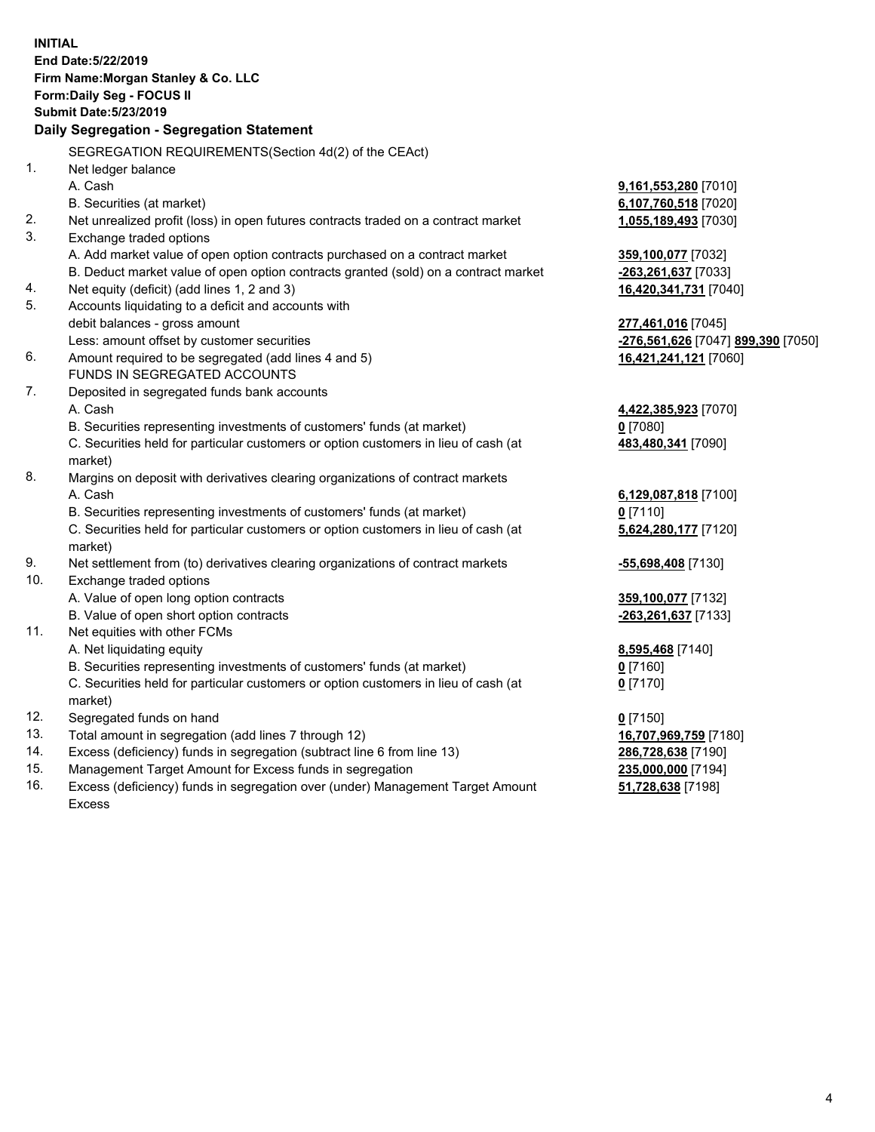**INITIAL End Date:5/22/2019 Firm Name:Morgan Stanley & Co. LLC Form:Daily Seg - FOCUS II Submit Date:5/23/2019 Daily Segregation - Segregation Statement** SEGREGATION REQUIREMENTS(Section 4d(2) of the CEAct) 1. Net ledger balance A. Cash **9,161,553,280** [7010] B. Securities (at market) **6,107,760,518** [7020] 2. Net unrealized profit (loss) in open futures contracts traded on a contract market **1,055,189,493** [7030] 3. Exchange traded options A. Add market value of open option contracts purchased on a contract market **359,100,077** [7032] B. Deduct market value of open option contracts granted (sold) on a contract market **-263,261,637** [7033] 4. Net equity (deficit) (add lines 1, 2 and 3) **16,420,341,731** [7040] 5. Accounts liquidating to a deficit and accounts with debit balances - gross amount **277,461,016** [7045] Less: amount offset by customer securities **-276,561,626** [7047] **899,390** [7050] 6. Amount required to be segregated (add lines 4 and 5) **16,421,241,121** [7060] FUNDS IN SEGREGATED ACCOUNTS 7. Deposited in segregated funds bank accounts A. Cash **4,422,385,923** [7070] B. Securities representing investments of customers' funds (at market) **0** [7080] C. Securities held for particular customers or option customers in lieu of cash (at market) **483,480,341** [7090] 8. Margins on deposit with derivatives clearing organizations of contract markets A. Cash **6,129,087,818** [7100] B. Securities representing investments of customers' funds (at market) **0** [7110] C. Securities held for particular customers or option customers in lieu of cash (at market) **5,624,280,177** [7120] 9. Net settlement from (to) derivatives clearing organizations of contract markets **-55,698,408** [7130] 10. Exchange traded options A. Value of open long option contracts **359,100,077** [7132] B. Value of open short option contracts **-263,261,637** [7133] 11. Net equities with other FCMs A. Net liquidating equity **8,595,468** [7140] B. Securities representing investments of customers' funds (at market) **0** [7160] C. Securities held for particular customers or option customers in lieu of cash (at market) **0** [7170] 12. Segregated funds on hand **0** [7150] 13. Total amount in segregation (add lines 7 through 12) **16,707,969,759** [7180] 14. Excess (deficiency) funds in segregation (subtract line 6 from line 13) **286,728,638** [7190] 15. Management Target Amount for Excess funds in segregation **235,000,000** [7194]

16. Excess (deficiency) funds in segregation over (under) Management Target Amount Excess

**51,728,638** [7198]